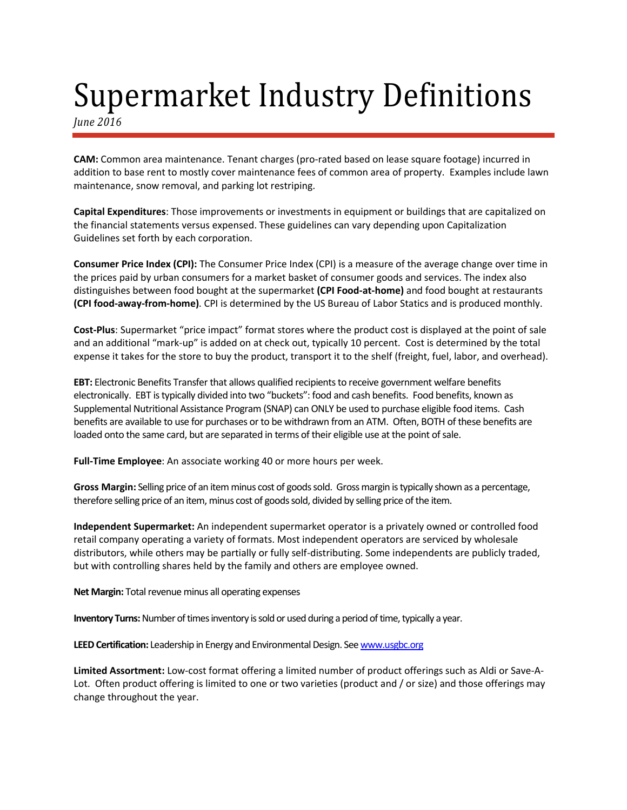## Supermarket Industry Definitions

*June 2016*

**CAM:** Common area maintenance. Tenant charges (pro-rated based on lease square footage) incurred in addition to base rent to mostly cover maintenance fees of common area of property. Examples include lawn maintenance, snow removal, and parking lot restriping.

**Capital Expenditures**: Those improvements or investments in equipment or buildings that are capitalized on the financial statements versus expensed. These guidelines can vary depending upon Capitalization Guidelines set forth by each corporation.

**Consumer Price Index (CPI):** The Consumer Price Index (CPI) is a measure of the average change over time in the prices paid by urban consumers for a market basket of consumer goods and services. The index also distinguishes between food bought at the supermarket **(CPI Food-at-home)** and food bought at restaurants **(CPI food-away-from-home)**. CPI is determined by the US Bureau of Labor Statics and is produced monthly.

**Cost-Plus**: Supermarket "price impact" format stores where the product cost is displayed at the point of sale and an additional "mark-up" is added on at check out, typically 10 percent. Cost is determined by the total expense it takes for the store to buy the product, transport it to the shelf (freight, fuel, labor, and overhead).

**EBT:** Electronic Benefits Transfer that allows qualified recipients to receive government welfare benefits electronically. EBT is typically divided into two "buckets": food and cash benefits. Food benefits, known as Supplemental Nutritional Assistance Program (SNAP) can ONLY be used to purchase eligible food items. Cash benefits are available to use for purchases or to be withdrawn from an ATM. Often, BOTH of these benefits are loaded onto the same card, but are separated in terms of their eligible use at the point of sale.

**Full-Time Employee**: An associate working 40 or more hours per week.

**Gross Margin:** Selling price of an itemminus cost of goods sold. Gross margin is typically shown as a percentage, therefore selling price of an item, minus cost of goods sold, divided by selling price of the item.

**Independent Supermarket:** An independent supermarket operator is a privately owned or controlled food retail company operating a variety of formats. Most independent operators are serviced by wholesale distributors, while others may be partially or fully self-distributing. Some independents are publicly traded, but with controlling shares held by the family and others are employee owned.

**Net Margin:** Total revenue minus all operating expenses

**Inventory Turns:** Number of times inventory is sold or used during a period of time, typically a year.

**LEED Certification:** Leadership in Energy and Environmental Design. Se[e www.usgbc.org](http://www.usgbc.org/)

**Limited Assortment:** Low-cost format offering a limited number of product offerings such as Aldi or Save-A-Lot. Often product offering is limited to one or two varieties (product and / or size) and those offerings may change throughout the year.